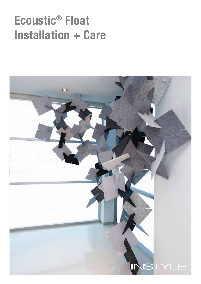# Ecoustic® Float Installation + Care

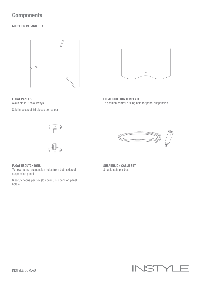# **Components**

# SUPPLIED IN EACH BOX





Sold in boxes of 15 pieces per colour



FLOAT DRILLING TEMPLATE To position central drilling hole for panel suspension







# FLOAT ESCUTCHEONS

To cover panel suspension holes from both sides of suspension panels

6 escutcheons per box (to cover 3 suspension panel holes)

SUSPENSION CABLE SET 3 cable sets per box

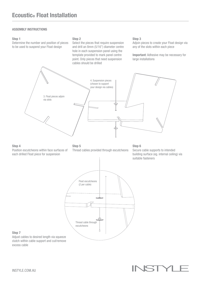# ASSEMBLY INSTRUCTIONS

#### Step 1

Determine the number and position of pieces to be used to suspend your Float design

#### Step 2

Select the pieces that require suspension and drill an 8mm (5/16") diameter centre hole in each suspension panel using the template provided to mark panel centre point. Only pieces that need suspension cables should be drilled

#### Step 3

Adjoin pieces to create your Float design via any of the slots within each piece

Important: Adhesive may be necessary for large installations



# Step 4

Position escutcheons within face surfaces of each drilled Float piece for suspension

# Step 5

Thread cables provided through escutcheons

### Step 6 Secure cable supports to intended building surface (eg. internal ceiling) via suitable fasteners



#### Step 7

Adjust cables to desired length via squeeze clutch within cable support and cut/remove excess cable